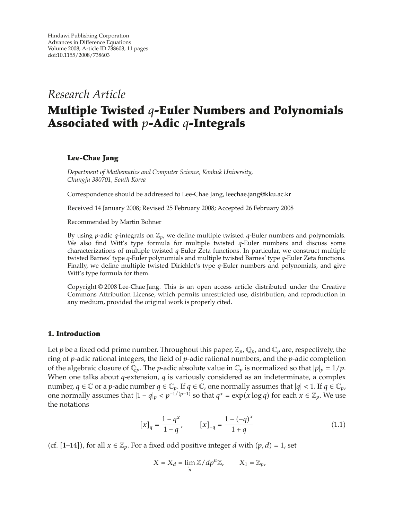## *Research Article*

# **Multiple Twisted** *q***-Euler Numbers and Polynomials Associated with** *p***-Adic** *q***-Integrals**

## **Lee-Chae Jang**

*Department of Mathematics and Computer Science, Konkuk University, Chungju 380701, South Korea*

Correspondence should be addressed to Lee-Chae Jang, leechae.jang@kku.ac.kr

Received 14 January 2008; Revised 25 February 2008; Accepted 26 February 2008

Recommended by Martin Bohner

By using *p*-adic *q*-integrals on Z*p*, we define multiple twisted *q*-Euler numbers and polynomials. We also find Witt's type formula for multiple twisted *q*-Euler numbers and discuss some characterizations of multiple twisted *q*-Euler Zeta functions. In particular, we construct multiple twisted Barnes' type *q*-Euler polynomials and multiple twisted Barnes' type *q*-Euler Zeta functions. Finally, we define multiple twisted Dirichlet's type *q*-Euler numbers and polynomials, and give Witt's type formula for them.

Copyright © 2008 Lee-Chae Jang. This is an open access article distributed under the Creative Commons Attribution License, which permits unrestricted use, distribution, and reproduction in any medium, provided the original work is properly cited.

### **1. Introduction**

Let *p* be a fixed odd prime number. Throughout this paper,  $\mathbb{Z}_p$ ,  $\mathbb{Q}_p$ , and  $\mathbb{C}_p$  are, respectively, the ring of *p*-adic rational integers, the field of *p*-adic rational numbers, and the *p*-adic completion of the algebraic closure of  $\mathbb{Q}_p$ . The *p*-adic absolute value in  $\mathbb{C}_p$  is normalized so that  $|p|_p = 1/p$ . When one talks about *q*-extension, *q* is variously considered as an indeterminate, a complex number,  $q \in \mathbb{C}$  or a *p*-adic number  $q \in \mathbb{C}_p$ . If  $q \in \mathbb{C}$ , one normally assumes that  $|q| < 1$ . If  $q \in \mathbb{C}_p$ , one normally assumes that  $|1 - q|_p < p^{-1/(p-1)}$  so that  $q^x = \exp(x \log q)$  for each  $x \in \mathbb{Z}_p$ . We use the notations

$$
[x]_q = \frac{1 - q^x}{1 - q}, \qquad [x]_{-q} = \frac{1 - (-q)^x}{1 + q} \tag{1.1}
$$

(cf.  $[1-14]$ ), for all  $x \in \mathbb{Z}_p$ . For a fixed odd positive integer *d* with  $(p, d) = 1$ , set

$$
X = X_d = \lim_{\substack{\leftarrow \\ n}} \mathbb{Z} / dp^n \mathbb{Z}, \qquad X_1 = \mathbb{Z}_p,
$$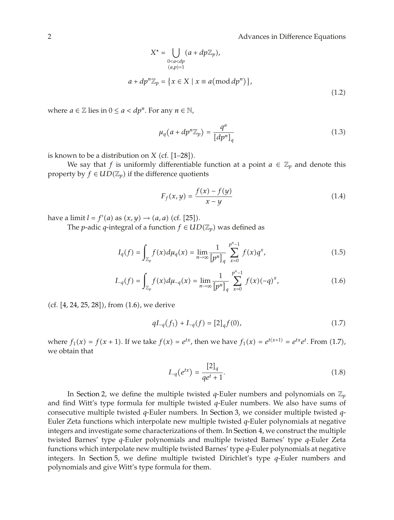$$
X^* = \bigcup_{0 < a < dp \atop (a, p) = 1} (a + dp \mathbb{Z}_p),
$$
\n
$$
a + dp^n \mathbb{Z}_p = \{ x \in X \mid x \equiv a \pmod{dp^n} \},
$$
\n
$$
(1.2)
$$

where  $a \in \mathbb{Z}$  lies in  $0 \le a < dp^n$ . For any  $n \in \mathbb{N}$ ,

$$
\mu_q(a+dp^n \mathbb{Z}_p) = \frac{q^a}{[dp^n]_q} \tag{1.3}
$$

is known to be a distribution on *X* (cf.  $[1-28]$ ).

We say that *f* is uniformly differentiable function at a point  $a \in \mathbb{Z}_p$  and denote this property by  $f \in UD(\mathbb{Z}_p)$  if the difference quotients

$$
F_f(x, y) = \frac{f(x) - f(y)}{x - y}
$$
\n(1.4)

have a limit  $l = f'(a)$  as  $(x, y) \rightarrow (a, a)$  (cf. [25]).

The *p*-adic *q*-integral of a function  $f \in UD(\mathbb{Z}_p)$  was defined as

$$
I_q(f) = \int_{\mathbb{Z}_p} f(x) d\mu_q(x) = \lim_{n \to \infty} \frac{1}{[p^n]_q} \sum_{x=0}^{p^n - 1} f(x) q^x,
$$
 (1.5)

$$
I_{-q}(f) = \int_{\mathbb{Z}_p} f(x) d\mu_{-q}(x) = \lim_{n \to \infty} \frac{1}{[p^n]_q} \sum_{x=0}^{p^n - 1} f(x) (-q)^x,
$$
 (1.6)

(cf.  $[4, 24, 25, 28]$ ), from  $(1.6)$ , we derive

$$
qI_{-q}(f_1) + I_{-q}(f) = [2]_q f(0), \qquad (1.7)
$$

where  $f_1(x) = f(x + 1)$ . If we take  $f(x) = e^{tx}$ , then we have  $f_1(x) = e^{t(x+1)} = e^{tx}e^t$ . From (1.7), we obtain that

$$
I_{-q}(e^{tx}) = \frac{[2]_q}{qe^t + 1}.
$$
\n(1.8)

In Section 2, we define the multiple twisted *q*-Euler numbers and polynomials on  $\mathbb{Z}_p$ and find Witt's type formula for multiple twisted *q*-Euler numbers. We also have sums of consecutive multiple twisted *q*-Euler numbers. In Section 3, we consider multiple twisted *q*-Euler Zeta functions which interpolate new multiple twisted *q*-Euler polynomials at negative integers and investigate some characterizations of them. In Section 4, we construct the multiple twisted Barnes' type *q*-Euler polynomials and multiple twisted Barnes' type *q*-Euler Zeta functions which interpolate new multiple twisted Barnes' type *q*-Euler polynomials at negative integers. In Section 5, we define multiple twisted Dirichlet's type *q*-Euler numbers and polynomials and give Witt's type formula for them.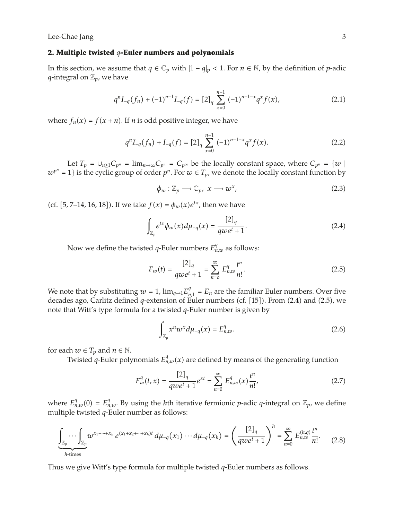#### **2. Multiple twisted** *q***-Euler numbers and polynomials**

In this section, we assume that *q* ∈  $\mathbb{C}_p$  with  $|1 - q|_p < 1$ . For *n* ∈ N, by the definition of *p*-adic *q*-integral on  $\mathbb{Z}_p$ , we have

$$
q^{n}I_{-q}(f_{n}) + (-1)^{n-1}I_{-q}(f) = [2]_{q} \sum_{x=0}^{n-1} (-1)^{n-1-x} q^{x} f(x), \qquad (2.1)
$$

where  $f_n(x) = f(x + n)$ . If *n* is odd positive integer, we have

$$
q^{n}I_{-q}(f_{n}) + I_{-q}(f) = [2]_{q} \sum_{x=0}^{n-1} (-1)^{n-1-x} q^{x} f(x).
$$
 (2.2)

Let  $T_p = \bigcup_{n \geq 1} C_{p^n} = \lim_{n \to \infty} C_{p^n} = C_{p^\infty}$  be the locally constant space, where  $C_{p^n} = \{w \mid p \in C_p\}$  $w^{p^n} = 1$  is the cyclic group of order  $p^n$ . For  $w \in T_p$ , we denote the locally constant function by

$$
\phi_w: \mathbb{Z}_p \longrightarrow \mathbb{C}_p, \ x \longrightarrow w^x,
$$
\n(2.3)

(cf. [5, 7–14, 16, 18]). If we take  $f(x) = \phi_w(x)e^{tx}$ , then we have

$$
\int_{\mathbb{Z}_p} e^{tx} \phi_w(x) d\mu_{-q}(x) = \frac{[2]_q}{qwe^t + 1}.
$$
\n(2.4)

Now we define the twisted *q*-Euler numbers  $E_{n,w}^q$  as follows:

$$
F_w(t) = \frac{[2]_q}{qwe^t + 1} = \sum_{n=0}^{\infty} E_{n,w}^q \frac{t^n}{n!}.
$$
 (2.5)

We note that by substituting  $w = 1$ ,  $\lim_{q \to 1} E_{n,1}^q = E_n$  are the familiar Euler numbers. Over five decades ago, Carlitz defined *q*-extension of Euler numbers (cf. [15]). From (2.4) and (2.5), we note that Witt's type formula for a twisted *q*-Euler number is given by

$$
\int_{\mathbb{Z}_p} x^n w^x d\mu_{-q}(x) = E_{n,w}^q.
$$
\n(2.6)

for each  $w \in T_p$  and  $n \in \mathbb{N}$ .

Twisted *q*-Euler polynomials  $E_{n,w}^q(x)$  are defined by means of the generating function

$$
F_w^q(t,x) = \frac{[2]_q}{qwe^t + 1}e^{xt} = \sum_{n=0}^{\infty} E_{n,w}^q(x)\frac{t^n}{n!},
$$
\n(2.7)

where  $E_{n,w}^q(0) = E_{n,w}^q$ . By using the *h*th iterative fermionic *p*-adic *q*-integral on  $\mathbb{Z}_p$ , we define multiple twisted *q*-Euler number as follows:

$$
\underbrace{\int_{\mathbb{Z}_p} \cdots \int_{\mathbb{Z}_p} w^{x_1 + \cdots + x_h} e^{(x_1 + x_2 + \cdots + x_h)t} d\mu_{-q}(x_1) \cdots d\mu_{-q}(x_h)}_{h \text{-times}} = \left(\frac{[2]_q}{qwe^t + 1}\right)^h = \sum_{n=0}^{\infty} E_{n,w}^{(h,q)} \frac{t^n}{n!}. \tag{2.8}
$$

Thus we give Witt's type formula for multiple twisted *q*-Euler numbers as follows.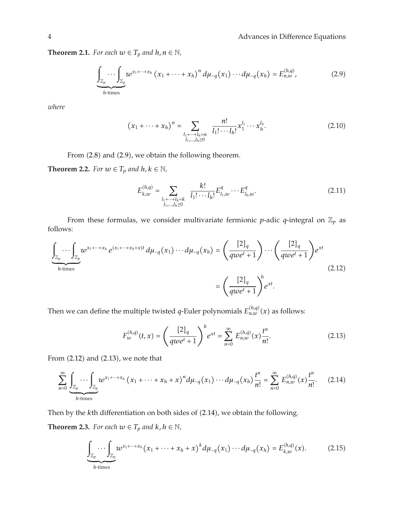**Theorem 2.1.** *For each*  $w \in T_p$  *and*  $h, n \in \mathbb{N}$ *,* 

$$
\underbrace{\int_{\mathbb{Z}_p} \cdots \int_{\mathbb{Z}_p} w^{x_1 + \cdots + x_h} (x_1 + \cdots + x_h)^n d\mu_{-q}(x_1) \cdots d\mu_{-q}(x_h) = E_{n,w}^{(h,q)},
$$
\n(2.9)

*where*

$$
(x_1 + \dots + x_h)^n = \sum_{\substack{l_1 + \dots + l_h = n \\ l_1, \dots, l_h \ge 0}} \frac{n!}{l_1! \cdots l_h!} x_1^{l_1} \cdots x_h^{l_h}.
$$
 (2.10)

From (2.8) and (2.9), we obtain the following theorem.

**Theorem 2.2.** *For*  $w \in T_p$  *and*  $h, k \in \mathbb{N}$ *,* 

$$
E_{k,w}^{(h,q)} = \sum_{\substack{l_1 + \dots + l_h = k \\ l_1, \dots, l_h \ge 0}} \frac{k!}{l_1! \cdots l_h!} E_{l_1,w}^q \cdots E_{l_h,w}^q.
$$
 (2.11)

From these formulas, we consider multivariate fermionic *p*-adic *q*-integral on  $\mathbb{Z}_p$  as follows:

$$
\underbrace{\int_{\mathbb{Z}_p} \cdots \int_{\mathbb{Z}_p} w^{x_1 + \cdots + x_h} e^{(x_1 + \cdots + x_h + x)t} d\mu_{-q}(x_1) \cdots d\mu_{-q}(x_h) = \left(\frac{[2]_q}{qwe^t + 1}\right) \cdots \left(\frac{[2]_q}{qwe^t + 1}\right) e^{xt}}_{qwe^t + 1}
$$
\n
$$
= \left(\frac{[2]_q}{qwe^t + 1}\right)^h e^{xt}.
$$
\n(2.12)

Then we can define the multiple twisted *q*-Euler polynomials  $E_{n,w}^{(h,q)}(x)$  as follows:

$$
F_{w}^{(h,q)}(t,x) = \left(\frac{[2]_q}{qwe^t + 1}\right)^h e^{xt} = \sum_{n=0}^{\infty} E_{n,w}^{(h,q)}(x) \frac{t^n}{n!}.
$$
 (2.13)

From  $(2.12)$  and  $(2.13)$ , we note that

$$
\sum_{n=0}^{\infty} \underbrace{\int_{\mathbb{Z}_p} \cdots \int_{\mathbb{Z}_p} w^{x_1 + \cdots + x_h} (x_1 + \cdots + x_h + x)^n d\mu_{-q}(x_1) \cdots d\mu_{-q}(x_h) \frac{t^n}{n!}}_{h \text{-times}} = \sum_{n=0}^{\infty} E_{n,w}^{(h,q)}(x) \frac{t^n}{n!}. \tag{2.14}
$$

Then by the *k*th differentiation on both sides of (2.14), we obtain the following.

**Theorem 2.3.** *For each*  $w \in T_p$  *and*  $k, h \in \mathbb{N}$ *,* 

$$
\underbrace{\int_{\mathbb{Z}_p} \cdots \int_{\mathbb{Z}_p} w^{x_1 + \cdots + x_h} (x_1 + \cdots + x_h + x)^k d\mu_{-q}(x_1) \cdots d\mu_{-q}(x_h) = E_{k,w}^{(h,q)}(x). \tag{2.15}
$$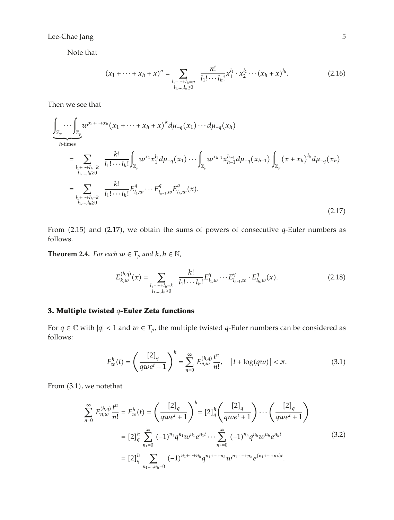Note that

$$
(x_1 + \dots + x_h + x)^n = \sum_{\substack{l_1 + \dots + l_h = n \\ l_1, \dots, l_h \ge 0}} \frac{n!}{l_1! \cdots l_h!} x_1^{l_1} \cdot x_2^{l_2} \cdots (x_h + x)^{l_h}.
$$
 (2.16)

Then we see that

$$
\underbrace{\int_{\mathbb{Z}_p} \cdots \int_{\mathbb{Z}_p} w^{x_1 + \cdots + x_h} (x_1 + \cdots + x_h + x)^k d\mu_{-q}(x_1) \cdots d\mu_{-q}(x_h)}_{h \text{-times}}
$$
\n
$$
= \sum_{\substack{l_1 + \cdots + l_h = k \\ l_1, \ldots, l_h \ge 0}} \frac{k!}{l_1! \cdots l_h!} \int_{\mathbb{Z}_p} w^{x_1} x_1^{l_1} d\mu_{-q}(x_1) \cdots \int_{\mathbb{Z}_p} w^{x_{h-1}} x_{h-1}^{l_{h-1}} d\mu_{-q}(x_{h-1}) \int_{\mathbb{Z}_p} (x + x_h)^{l_h} d\mu_{-q}(x_h)
$$
\n
$$
= \sum_{\substack{l_1 + \cdots + l_h = k \\ l_1, \ldots, l_h \ge 0}} \frac{k!}{l_1! \cdots l_h!} E_{l_1, w}^q \cdots E_{l_{h-1}, w}^q E_{l_h, w}^q(x).
$$
\n(2.17)

From (2.15) and (2.17), we obtain the sums of powers of consecutive *q*-Euler numbers as follows.

**Theorem 2.4.** *For each*  $w \in T_p$  *and*  $k, h \in \mathbb{N}$ *,* 

$$
E_{k,w}^{(h,q)}(x) = \sum_{\substack{l_1 + \dots + l_h = k \\ l_1, \dots, l_h \ge 0}} \frac{k!}{l_1! \cdots l_h!} E_{l_1,w}^q \cdots E_{l_{h-1},w}^q \cdot E_{l_h,w}^q(x). \tag{2.18}
$$

## **3. Multiple twisted** *q***-Euler Zeta functions**

For  $q \in \mathbb{C}$  with  $|q| < 1$  and  $w \in T_p$ , the multiple twisted  $q$ -Euler numbers can be considered as follows:

$$
F_w^h(t) = \left(\frac{[2]_q}{qwe^t + 1}\right)^h = \sum_{n=0}^{\infty} E_{n,w}^{(h,q)} \frac{t^n}{n!}, \quad |t + \log(qw)| < \pi. \tag{3.1}
$$

From  $(3.1)$ , we note that

$$
\sum_{n=0}^{\infty} E_{n,w}^{(h,q)} \frac{t^n}{n!} = F_w^h(t) = \left(\frac{[2]_q}{qwe^t + 1}\right)^h = [2]_q^h \left(\frac{[2]_q}{qwe^t + 1}\right) \cdots \left(\frac{[2]_q}{qwe^t + 1}\right)
$$

$$
= [2]_q^h \sum_{n_1=0}^{\infty} (-1)^{n_1} q^{n_1} w^{n_1} e^{n_1 t} \cdots \sum_{n_h=0}^{\infty} (-1)^{n_h} q^{n_h} w^{n_h} e^{n_h t}
$$
(3.2)
$$
= [2]_q^h \sum_{n_1, \ldots, n_h=0} (-1)^{n_1 + \cdots + n_h} q^{n_1 + \cdots + n_h} w^{n_1 + \cdots + n_h} e^{(n_1 + \cdots + n_h)t}.
$$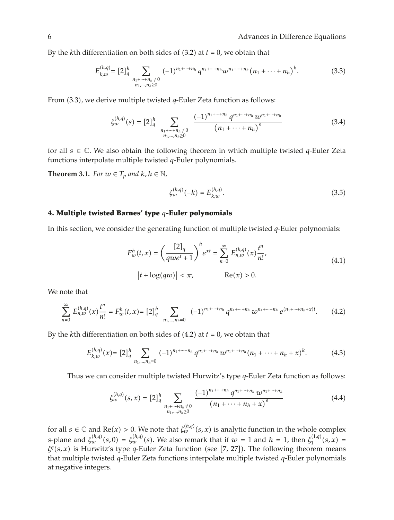By the *k*th differentiation on both sides of  $(3.2)$  at  $t = 0$ , we obtain that

$$
E_{k,w}^{(h,q)} = [2]_q^h \sum_{\substack{n_1 + \dots + n_h \neq 0 \\ n_1, \dots, n_h \geq 0}} (-1)^{n_1 + \dots + n_h} q^{n_1 + \dots + n_h} w^{n_1 + \dots + n_h} (n_1 + \dots + n_h)^k.
$$
 (3.3)

From 3.3, we derive multiple twisted *q*-Euler Zeta function as follows:

$$
\xi_{w}^{(h,q)}(s) = [2]_{q}^{h} \sum_{\substack{n_1 + \dots + n_h \neq 0 \\ n_1, \dots, n_h \geq 0}} \frac{(-1)^{n_1 + \dots + n_h} q^{n_1 + \dots + n_h} w^{n_1 + \dots + n_h}}{(n_1 + \dots + n_h)^s}
$$
(3.4)

for all *<sup>s</sup>* <sup>∈</sup> <sup>C</sup>. We also obtain the following theorem in which multiple twisted *<sup>q</sup>*-Euler Zeta functions interpolate multiple twisted *q*-Euler polynomials.

**Theorem 3.1.** *For*  $w \in T_p$  *and*  $k, h \in \mathbb{N}$ *,* 

$$
\xi_{w}^{(h,q)}(-k) = E_{k,w}^{(h,q)}.\tag{3.5}
$$

#### **4. Multiple twisted Barnes' type** *q***-Euler polynomials**

In this section, we consider the generating function of multiple twisted *q*-Euler polynomials:

$$
F_w^h(t, x) = \left(\frac{[2]_q}{qwe^t + 1}\right)^h e^{xt} = \sum_{n=0}^{\infty} E_{n,w}^{(h,q)}(x) \frac{t^n}{n!},
$$
  
\n
$$
|t + \log(qw)| < \pi, \qquad \text{Re}(x) > 0.
$$
 (4.1)

We note that

$$
\sum_{n=0}^{\infty} E_{n,w}^{(h,q)}(x) \frac{t^n}{n!} = F_w^h(t,x) = [2]_q^h \sum_{n_1,\dots,n_h=0} (-1)^{n_1+\dots+n_h} q^{n_1+\dots+n_h} w^{n_1+\dots+n_h} e^{(n_1+\dots+n_h+x)t}.
$$
 (4.2)

By the *k*th differentiation on both sides of  $(4.2)$  at  $t = 0$ , we obtain that

$$
E_{k,w}^{(h,q)}(x) = [2]_q^h \sum_{n_1,\dots,n_h=0} (-1)^{n_1+\dots+n_h} q^{n_1+\dots+n_h} w^{n_1+\dots+n_h}(n_1+\dots+n_h+x)^k.
$$
 (4.3)

Thus we can consider multiple twisted Hurwitz's type *q*-Euler Zeta function as follows:

$$
\xi_{w}^{(h,q)}(s,x) = [2]_{q}^{h} \sum_{\substack{n_1+\dots+n_h \neq 0 \\ n_1,\dots,n_h \geq 0}} \frac{(-1)^{n_1+\dots+n_h} q^{n_1+\dots+n_h} w^{n_1+\dots+n_h}}{\left(n_1+\dots+n_h+x\right)^s}
$$
(4.4)

for all  $s \in \mathbb{C}$  and  $\text{Re}(x) > 0$ . We note that  $\zeta_{w}^{(h,q)}(s,x)$  is analytic function in the whole complex *s*-plane and  $\zeta_{w}^{(h,q)}(s,0) = \zeta_{w}^{(h,q)}(s)$ . We also remark that if  $w = 1$  and  $h = 1$ , then  $\zeta_{1}^{(1,q)}(s,x) =$  $\zeta^q(s,x)$  is Hurwitz's type *q*-Euler Zeta function (see [7, 27]). The following theorem means that multiple twisted *q*-Euler Zeta functions interpolate multiple twisted *q*-Euler polynomials at negative integers.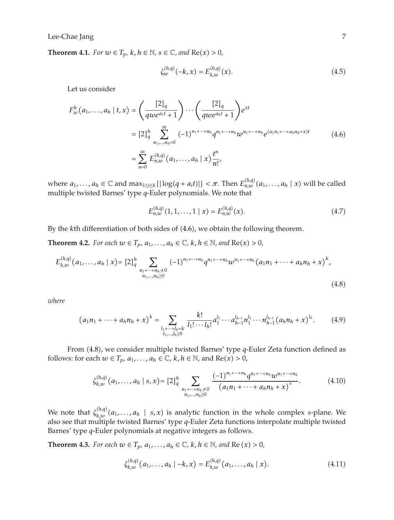**Theorem 4.1.** *For*  $w \in T_p$ *,*  $k$ *,*  $h \in \mathbb{N}$ *,*  $s \in \mathbb{C}$ *, and*  $Re(x) > 0$ *,* 

$$
\xi_{w}^{(h,q)}(-k,x) = E_{k,w}^{(h,q)}(x). \tag{4.5}
$$

Let us consider

$$
F_w^h(a_1, ..., a_h | t, x) = \left(\frac{[2]_q}{qwe^{a_1t} + 1}\right) \cdots \left(\frac{[2]_q}{qwe^{a_ht} + 1}\right) e^{xt}
$$
  

$$
= [2]_q^h \sum_{n_1, ..., n_h=0}^{\infty} (-1)^{n_1 + \cdots + n_h} q^{n_1 + \cdots + n_h} w^{n_1 + \cdots + n_h} e^{(a_1 n_1 + \cdots + a_h n_h + x)t}
$$
  

$$
= \sum_{n=0}^{\infty} E_{n,w}^{(h,q)}(a_1, ..., a_h | x) \frac{t^n}{n!},
$$
 (4.6)

where  $a_1, \ldots, a_h \in \mathbb{C}$  and  $\max_{1 \le i \le k} \{ |\log(q + a_i t)| \} < \pi$ . Then  $E_{n,w}^{(h,q)}(a_1, \ldots, a_h | x)$  will be called multiple twisted Barnes' type *q*-Euler polynomials. We note that

$$
E_{n,w}^{(h,q)}(1,1,\ldots,1\mid x) = E_{n,w}^{(h,q)}(x). \tag{4.7}
$$

By the *k*th differentiation of both sides of 4.6, we obtain the following theorem.

**Theorem 4.2.** *For each*  $w \in T_p$ *,*  $a_1, \ldots, a_h \in \mathbb{C}$ *, k, h*  $\in \mathbb{N}$ *, and*  $Re(x) > 0$ *,* 

$$
E_{k,w}^{(h,q)}(a_1,\ldots,a_h|x) = [2]_q^h \sum_{\substack{n_1+\cdots+n_h\neq 0\\n_1,\ldots,n_h\geq 0}} (-1)^{n_1+\cdots+n_h} q^{n_1+\cdots+n_h} w^{n_1+\cdots+n_h} (a_1n_1+\cdots+a_hn_h+x)^k,
$$
\n(4.8)

*where*

$$
(a_1n_1 + \cdots + a_nn_h + x)^k = \sum_{\substack{l_1 + \cdots + l_h = k \\ l_1, \ldots, l_h \ge 0}} \frac{k!}{l_1! \cdots l_h!} a_1^{l_1} \cdots a_{h-1}^{l_{h-1}} n_1^{l_1} \cdots n_{h-1}^{l_{h-1}} (a_nn_h + x)^{l_h}.
$$
 (4.9)

From 4.8, we consider multiple twisted Barnes' type *q*-Euler Zeta function defined as follows: for each  $w \in T_p$ ,  $a_1, \ldots, a_h \in \mathbb{C}$ ,  $k, h \in \mathbb{N}$ , and  $Re(x) > 0$ ,

$$
\xi_{k,w}^{(h,q)}(a_1,\ldots,a_h \mid s,x) = [2]_q^h \sum_{\substack{n_1+\cdots+n_h \neq 0 \\ n_1,\ldots,n_h \geq 0}} \frac{(-1)^{n_1+\cdots+n_h} q^{n_1+\cdots+n_h} w^{n_1+\cdots+n_h}}{(a_1 n_1 + \cdots + a_h n_h + x)^s}.
$$
 (4.10)

We note that  $\zeta_{k,w}^{(h,q)}(a_1,\ldots,a_h \mid s,x)$  is analytic function in the whole complex *s*-plane. We also see that multiple twisted Barnes' type *q*-Euler Zeta functions interpolate multiple twisted Barnes' type *q*-Euler polynomials at negative integers as follows.

**Theorem 4.3.** *For each*  $w \in T_p$ *,*  $a_1$ *,...,*  $a_h \in \mathbb{C}$ *,*  $k$ *,*  $h \in \mathbb{N}$ *, and*  $\text{Re}(x) > 0$ *,* 

$$
\xi_{k,w}^{(h,q)}(a_1,\ldots,a_h \mid -k,x) = E_{k,w}^{(h,q)}(a_1,\ldots,a_h \mid x).
$$
 (4.11)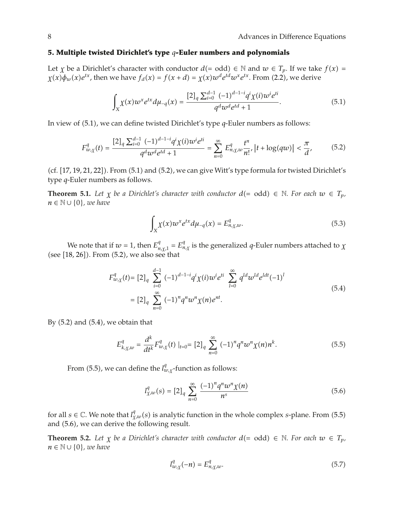#### **5. Multiple twisted Dirichlet's type** *q***-Euler numbers and polynomials**

Let *χ* be a Dirichlet's character with conductor  $d(= odd) \in \mathbb{N}$  and  $w \in T_p$ . If we take  $f(x) =$  $\chi(x)\phi_w(x)e^{tx}$ , then we have  $f_d(x) = f(x+d) = \chi(x)w^de^{td}w^xe^{tx}$ . From (2.2), we derive

$$
\int_{X} \chi(x) w^{x} e^{tx} d\mu_{-q}(x) = \frac{[2]_{q} \sum_{i=0}^{d-1} (-1)^{d-1-i} q^{i} \chi(i) w^{i} e^{ti}}{q^{d} w^{d} e^{td} + 1}.
$$
\n(5.1)

In view of 5.1, we can define twisted Dirichlet's type *q*-Euler numbers as follows:

$$
F_{w,\chi}^q(t) = \frac{[2]_q \sum_{i=0}^{d-1} (-1)^{d-1-i} q^i \chi(i) w^i e^{ti}}{q^d w^d e^{td} + 1} = \sum_{n=0}^{\infty} E_{n,\chi,w}^q \frac{t^n}{n!}, \left| t + \log(qw) \right| < \frac{\pi}{d},\tag{5.2}
$$

 $(cf. [17, 19, 21, 22])$ . From  $(5.1)$  and  $(5.2)$ , we can give Witt's type formula for twisted Dirichlet's type *q*-Euler numbers as follows.

**Theorem 5.1.** Let  $\chi$  be a Dirichlet's character with conductor  $d = \text{odd} \in \mathbb{N}$ . For each  $w \in T_p$ , *n* ∈  $\mathbb{N} \cup \{0\}$ *, we have* 

$$
\int_X \chi(x) \omega^x e^{tx} d\mu_{-q}(x) = E^q_{n,\chi,w}.
$$
\n(5.3)

We note that if  $w = 1$ , then  $E_{n,\chi,1}^q = E_{n,\chi}^q$  is the generalized *q*-Euler numbers attached to  $\chi$ (see  $[18, 26]$ ). From  $(5.2)$ , we also see that

$$
F_{w,\chi}^q(t) = [2]_q \sum_{i=0}^{d-1} (-1)^{d-1-i} q^i \chi(i) w^i e^{ti} \sum_{l=0}^{\infty} q^{ld} w^{ld} e^{ldt} (-1)^l
$$
  

$$
= [2]_q \sum_{n=0}^{\infty} (-1)^n q^n w^n \chi(n) e^{nt}.
$$
 (5.4)

By  $(5.2)$  and  $(5.4)$ , we obtain that

$$
E_{k,\chi,w}^q = \frac{d^k}{dt^k} F_{w,\chi}^q(t) \big|_{t=0} = [2]_q \sum_{n=0}^{\infty} (-1)^n q^n w^n \chi(n) n^k. \tag{5.5}
$$

From (5.5), we can define the  $l^q_{w,\chi}$ -function as follows:

$$
l_{\chi,w}^{q}(s) = [2]_q \sum_{n=0}^{\infty} \frac{(-1)^n q^n w^n \chi(n)}{n^s}
$$
 (5.6)

for all  $s \in \mathbb{C}$ . We note that  $l_{\chi,w}^q(s)$  is analytic function in the whole complex *s*-plane. From (5.5) and  $(5.6)$ , we can derive the following result.

**Theorem 5.2.** Let  $\chi$  be a Dirichlet's character with conductor  $d = \text{odd} \in \mathbb{N}$ . For each  $w \in T_p$ , *n* ∈  $\mathbb{N} \cup \{0\}$ *, we have* 

$$
l_{w,\chi}^q(-n) = E_{n,\chi,w}^q.
$$
\n
$$
(5.7)
$$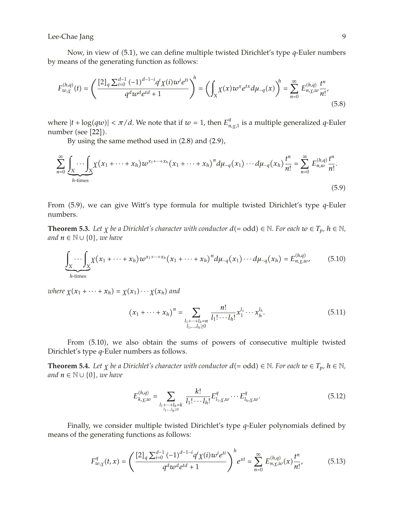Now, in view of 5.1, we can define multiple twisted Dirichlet's type *q*-Euler numbers by means of the generating function as follows:

$$
F_{w,\chi}^{(h,q)}(t) = \left(\frac{[2]_q \sum_{i=0}^{d-1} (-1)^{d-1-i} q^i \chi(i) w^i e^{ti}}{q^d w^d e^{td} + 1}\right)^h = \left(\int_X \chi(x) w^x e^{tx} d\mu_{-q}(x)\right)^h = \sum_{n=0}^{\infty} E_{n,\chi,w}^{(h,q)} \frac{t^n}{n!},\tag{5.8}
$$

where  $|t + \log(qw)| < \pi/d$ . We note that if  $w = 1$ , then  $E^{q}_{n,\chi,1}$  is a multiple generalized q-Euler number (see  $[22]$ ).

By using the same method used in  $(2.8)$  and  $(2.9)$ ,

$$
\sum_{n=0}^{\infty} \underbrace{\int_{X} \cdots \int_{X}}_{h \text{-times}} \chi(x_1 + \cdots + x_h) w^{x_1 + \cdots + x_h} (x_1 + \cdots + x_h)^n d\mu_{-q}(x_1) \cdots d\mu_{-q}(x_h) \frac{t^n}{n!} = \sum_{n=0}^{\infty} E_{n,w}^{(h,q)} \frac{t^n}{n!}.
$$
\n(5.9)

From 5.9, we can give Witt's type formula for multiple twisted Dirichlet's type *q*-Euler numbers.

**Theorem 5.3.** Let  $\chi$  be a Dirichlet's character with conductor  $d = \text{odd} \in \mathbb{N}$ . For each  $w \in T_p$ ,  $h \in \mathbb{N}$ , *and*  $n \in \mathbb{N} \cup \{0\}$ *, we have* 

$$
\underbrace{\int_{X} \cdots \int_{X} \chi(x_1 + \cdots + x_h) w^{x_1 + \cdots + x_h} (x_1 + \cdots + x_h)^n d\mu_{-q}(x_1) \cdots d\mu_{-q}(x_h) = E_{n, \chi, w}^{(h,q)},
$$
(5.10)

*where*  $\chi(x_1 + \cdots + x_h) = \chi(x_1) \cdots \chi(x_h)$  and

$$
(x_1 + \dots + x_h)^n = \sum_{\substack{l_1 + \dots + l_h = n \\ l_1, \dots, l_h \ge 0}} \frac{n!}{l_1! \cdots l_h!} x_1^{l_1} \cdots x_h^{l_h}.
$$
 (5.11)

From  $(5.10)$ , we also obtain the sums of powers of consecutive multiple twisted Dirichlet's type *q*-Euler numbers as follows.

**Theorem 5.4.** *Let*  $\chi$  *be a Dirichlet's character with conductor*  $d(= odd) \in \mathbb{N}$ *. For each*  $w \in T_p$ *,*  $h \in \mathbb{N}$ *, and*  $n \in \mathbb{N} \cup \{0\}$ *, we have* 

$$
E_{k,\chi,w}^{(h,q)} = \sum_{\substack{l_1 + \dots + l_h = k \\ l_1, \dots, l_h \ge 0}} \frac{k!}{l_1! \cdots l_h!} E_{l_1,\chi,w}^q \cdots E_{l_h,\chi,w}^q.
$$
 (5.12)

Finally, we consider multiple twisted Dirichlet's type *q*-Euler polynomials defined by means of the generating functions as follows:

$$
F_{w,\chi}^q(t,x) = \left(\frac{[2]_q \sum_{i=0}^{d-1} (-1)^{d-1-i} q^i \chi(i) w^i e^{ti}}{q^d w^d e^{td} + 1}\right)^h e^{xt} = \sum_{n=0}^{\infty} E_{n,\chi,w}^{(h,q)}(x) \frac{t^n}{n!},\tag{5.13}
$$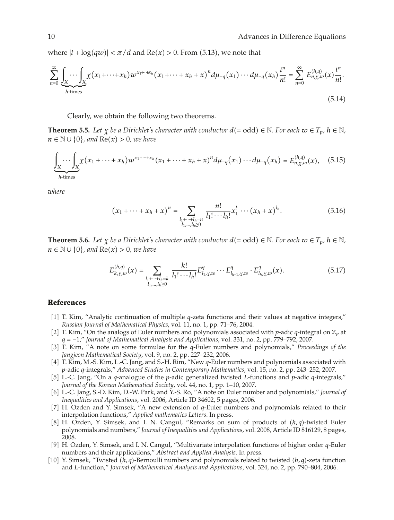where  $|t + \log(qw)| < \pi/d$  and  $\text{Re}(x) > 0$ . From (5.13), we note that

$$
\sum_{n=0}^{\infty} \underbrace{\int_{X} \cdots \int_{X}}_{h \text{-times}} \chi(x_1 + \cdots + x_h) w^{x_1 + \cdots + x_h}(x_1 + \cdots + x_h + x)^n d\mu_{-q}(x_1) \cdots d\mu_{-q}(x_h) \frac{t^n}{n!} = \sum_{n=0}^{\infty} E_{n,\chi,w}^{(h,q)}(x) \frac{t^n}{n!}.
$$
\n(5.14)

Clearly, we obtain the following two theorems.

**Theorem 5.5.** Let  $\chi$  be a Dirichlet's character with conductor  $d (= \text{odd}) \in \mathbb{N}$ . For each  $w \in T_p$ ,  $h \in \mathbb{N}$ , *n* ∈  $\mathbb{N} \cup \{0\}$ *, and*  $\text{Re}(x) > 0$ *, we have* 

$$
\underbrace{\int_{X} \cdots \int_{X}}_{h \text{-times}} \chi(x_1 + \cdots + x_h) w^{x_1 + \cdots + x_h}(x_1 + \cdots + x_h + x)^n d\mu_{-q}(x_1) \cdots d\mu_{-q}(x_h) = E_{n, \chi, w}^{(h, q)}(x), \quad (5.15)
$$

*where*

$$
(x_1 + \dots + x_h + x)^n = \sum_{\substack{l_1 + \dots + l_h = n \\ l_1, \dots, l_h \ge 0}} \frac{n!}{l_1! \cdots l_h!} x_1^{l_1} \cdots (x_h + x)^{l_h}.
$$
 (5.16)

**Theorem 5.6.** *Let*  $\chi$  *be a Dirichlet's character with conductor*  $d (= odd) \in \mathbb{N}$ *. For each*  $w \in T_p$ *,*  $h \in \mathbb{N}$ *, n* ∈  $\mathbb{N}$  ∪ {0}*, and*  $\text{Re}(x) > 0$ *, we have* 

$$
E_{k,\chi,w}^{(h,q)}(x) = \sum_{\substack{l_1+\cdots+l_h=k\\l_1,\ldots,l_h\geq 0}} \frac{k!}{l_1!\cdots l_h!} E_{l_1,\chi,w}^q \cdots E_{l_{h-1},\chi,w}^q \cdot E_{l_h,\chi,w}^q(x). \tag{5.17}
$$

#### **References**

- 1 T. Kim, "Analytic continuation of multiple *q*-zeta functions and their values at negative integers," *Russian Journal of Mathematical Physics*, vol. 11, no. 1, pp. 71–76, 2004.
- [2] T. Kim, "On the analogs of Euler numbers and polynomials associated with *p*-adic *q*-integral on  $\mathbb{Z}_p$  at *<sup>q</sup>* <sup>−</sup>1," *Journal of Mathematical Analysis and Applications*, vol. 331, no. 2, pp. 779–792, 2007.
- 3 T. Kim, "A note on some formulae for the *q*-Euler numbers and polynomials," *Proceedings of the Jangjeon Mathematical Society*, vol. 9, no. 2, pp. 227–232, 2006.
- 4 T. Kim, M.-S. Kim, L.-C. Jang, and S.-H. Rim, "New *q*-Euler numbers and polynomials associated with *p*-adic *q*-integrals," *Advanced Studies in Contemporary Mathematics*, vol. 15, no. 2, pp. 243–252, 2007.
- 5 L.-C. Jang, "On a *q*-analogue of the *p*-adic generalized twisted *L*-functions and *p*-adic *q*-integrals," *Journal of the Korean Mathematical Society*, vol. 44, no. 1, pp. 1–10, 2007.
- 6 L.-C. Jang, S.-D. Kim, D.-W. Park, and Y.-S. Ro, "A note on Euler number and polynomials," *Journal of Inequalities and Applications*, vol. 2006, Article ID 34602, 5 pages, 2006.
- 7 H. Ozden and Y. Simsek, "A new extension of *q*-Euler numbers and polynomials related to their interpolation functions," *Applied mathematics Letters*. In press.
- 8 H. Ozden, Y. Simsek, and I. N. Cangul, "Remarks on sum of products of *h, q*-twisted Euler polynomials and numbers," *Journal of Inequalities and Applications*, vol. 2008, Article ID 816129, 8 pages, 2008.
- 9 H. Ozden, Y. Simsek, and I. N. Cangul, "Multivariate interpolation functions of higher order *q*-Euler numbers and their applications," *Abstract and Applied Analysis*. In press.
- 10 Y. Simsek, "Twisted *h, q*-Bernoulli numbers and polynomials related to twisted *h, q*-zeta function and *L*-function," *Journal of Mathematical Analysis and Applications*, vol. 324, no. 2, pp. 790–804, 2006.